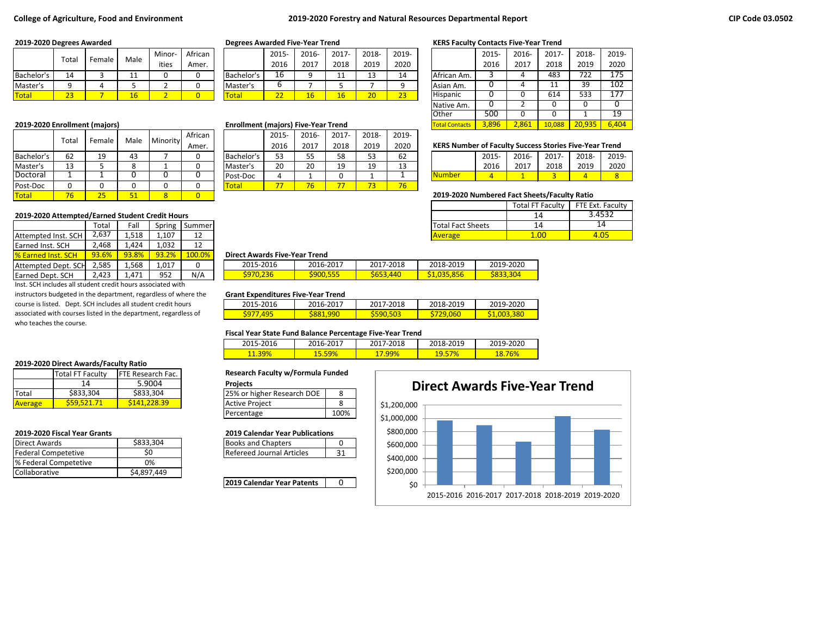### **College of Agriculture, Food and Environment 2019-2020 Forestry and Natural Resources Departmental Report**

|              | Totai |        | Male | Minor- | African |                    | 2015         | 2016- | 2017-    | 2018-        | 2019-  |                 | 2015 | 2016 | 2017       | 2018- | 2019            |
|--------------|-------|--------|------|--------|---------|--------------------|--------------|-------|----------|--------------|--------|-----------------|------|------|------------|-------|-----------------|
|              |       | Female |      | ities  | Amer.   |                    | 2016         | 2017  | 2018     | 2019         | 2020   |                 | 2016 | 2017 | 2018       | 2019  | 2020            |
| Bachelor's   | 14    |        | --   |        |         | <b>IBachelor's</b> | Ιb           |       | 44<br>ᆠᆂ | 10<br>ᅩ      | 14     | African Am.     |      |      | 483        | 722   | 175             |
| Master's     |       |        |      |        |         | Master's           |              |       |          |              |        | Asian Am.       |      |      | <b>. .</b> | 39    | 102             |
| <b>Total</b> | 23    |        | ≖    |        |         | <b>Total</b>       | $\sim$<br>-- | 16    | 16       | $\sim$<br>zu | $\sim$ | <b>Hispanic</b> |      |      | 614        | 533   | 177<br><b>T</b> |

|            |       |        |            |          | African |            | 2015 | 2016- | 2017- | 2018- | 2019- |                                                               |       |       |          |       |       |
|------------|-------|--------|------------|----------|---------|------------|------|-------|-------|-------|-------|---------------------------------------------------------------|-------|-------|----------|-------|-------|
|            | Total | Female | Male       | Minority | Amer.   |            | 2016 | 2017  | 2018  | 2019  | 2020  | <b>KERS Number of Faculty Success Stories Five-Year Trend</b> |       |       |          |       |       |
| Bachelor's | 62    | 19     | 43         |          |         | Bachelor's | 53   | 55    | 58    |       | 62    |                                                               | 2015- | 2016- | $2017 -$ | 2018- | 2019- |
| Master's   | 13    |        | o          |          |         | lMaster's  | 20   | 20    | 19    | 19    | 13    |                                                               | 2016  | 2017  | 2018     | 2019  | 2020  |
| Doctoral   |       |        |            |          |         | Post-Doc   | 4    |       |       |       |       | <b>Number</b>                                                 |       |       |          |       |       |
| Post-Doc   |       |        |            |          |         | Total      | 77   | 76    | 77    |       | 76    |                                                               |       |       |          |       |       |
| Total      | 76    | --     | 51<br>ال ک |          |         |            |      |       |       |       |       | 2019-2020 Numbered Fact Sheets/Faculty Ratio                  |       |       |          |       |       |

### **2019-2020 Attempted/Earned Student Credit Hours**

|                            | Total | Fall  | Spring | Summer        |                                      |           |           | <b>Total Fact Sheets</b> |  |
|----------------------------|-------|-------|--------|---------------|--------------------------------------|-----------|-----------|--------------------------|--|
| Attempted Inst. SCH        | 2,637 | 1.518 | 1.107  |               |                                      |           |           | <b>Average</b>           |  |
| <b>Earned Inst. SCH</b>    | 2,468 | 1.424 | 1.032  | 12            |                                      |           |           |                          |  |
| <b>1% Earned Inst. SCH</b> | 93.6% | 93.8% | 93.2%  | <b>100.0%</b> | <b>Direct Awards Five-Year Trend</b> |           |           |                          |  |
| Attempted Dept. SCH        | 2.585 | 1.568 | 1.017  |               | 2015-2016                            | 2016-2017 | 2017-2018 | 2018-2019                |  |
| Earned Dept. SCH           | 2,423 | 1.471 | 952    | N/A           | \$970,236                            | \$900.555 | \$653,440 | \$1,035,856              |  |

Inst. SCH includes all student credit hours associated with instructors budgeted in the department, regardless of where the course is listed. Dept. SCH includes all student credit hours

associated with courses listed in the department, regardless of who teaches the course.

#### **2019-2020 Direct Awards/Faculty Ratio**

|                | <b>Total FT Faculty</b> | <b>IFTE Research Fac.</b> | <b>Research Faculty w/Formula Funde</b> |    |
|----------------|-------------------------|---------------------------|-----------------------------------------|----|
|                | 14                      | 5.9004                    | <b>Projects</b>                         |    |
| <b>ITotal</b>  | \$833,304               | \$833,304                 | 125% or higher Research DOE             | -8 |
| <b>Average</b> | S59.521.71              | S141.228.39               | Active Project                          |    |

| Direct Awards              | \$833,304   | <b>Books and Chapters</b> |  |
|----------------------------|-------------|---------------------------|--|
| <b>Federal Competetive</b> | SC          | Refereed Journal Articles |  |
| % Federal Competetive      | 0%          |                           |  |
| <b>ICollaborative</b>      | \$4.897.449 |                           |  |
|                            |             |                           |  |

|            | 2015- | 2016- | 2017- | 2018- | 2019- |
|------------|-------|-------|-------|-------|-------|
|            | 2016  | 2017  | 2018  | 2019  | 2020  |
| Bachelor's | 16    |       | 11    | 13    | 14    |
| Master's   | o     |       |       |       |       |
| otal       | つつ    | 16    | 16    | 20    | 23    |

#### **2019-2020 Enrollment (majors) <b>Enrollment (majors**) **Enrollment (majors 3,896** 2019-2020 Enrollment Contacts 3,896 **Enrollment** Contacts 3,896 20,936 **Contacts** 3,896 **Contacts 3,896 6,400 Enrollment** (majors) Five-Year T

|             | 2015- | 2016- | $2017 -$ | 2018- | 2019- |
|-------------|-------|-------|----------|-------|-------|
|             | 2016  | 2017  | 2018     | 2019  | 2020  |
| Bachelor's  | 53    | 55    | 58       | 53    | 62    |
| Master's    | 20    | 20    | 19       | 19    | 13    |
| Post-Doc    |       |       |          |       |       |
| <u>otal</u> |       | 76    |          |       | '6    |

#### **2019-2020 Degrees Awarded Degrees Awarded Five-Year Trend KERS Faculty Contacts Five-Year Trend**

|                       | 2015- | 2016-          | 2017-  | 2018-  | 2019- |
|-----------------------|-------|----------------|--------|--------|-------|
|                       | 2016  | 2017           | 2018   | 2019   | 2020  |
| African Am.           | 3     | 4              | 483    | 722    | 175   |
| Asian Am.             |       | 4              | 11     | 39     | 102   |
| Hispanic              |       | 0              | 614    | 533    | 177   |
| Native Am.            |       | $\mathfrak{p}$ | 0      | 0      |       |
| Other                 | 500   | 0              | 0      | 1      | 19    |
| <b>Total Contacts</b> | 3.896 | 2,861          | 10,088 | 20.935 | 6,404 |

### **KERS Number of Faculty Success Stories Five-Year Trend**

|                | $2015 -$ | 2016- | 2017- | 2018- | 2019- |
|----------------|----------|-------|-------|-------|-------|
|                | 2016     | 2017  | 2018  | 2019  | 2020  |
| <b>INumber</b> |          |       |       |       |       |

### Total 76 25 51 8 0 **2019-2020 Numbered Fact Sheets/Faculty Ratio**

|                          | <b>Total FT Faculty</b> | FTE Ext. Faculty |  |  |
|--------------------------|-------------------------|------------------|--|--|
|                          | 14                      | 3.4532           |  |  |
| <b>Total Fact Sheets</b> | 14                      | 14               |  |  |
| <b>Average</b>           |                         |                  |  |  |
|                          |                         |                  |  |  |

### 93.6% 93.8% 93.2% 100.0% **Direct Awards Five-Year Trend**

| 2015-2016       | 2016-2017       | 2017-2018 | 2018-2019   | 2019-2020        |
|-----------------|-----------------|-----------|-------------|------------------|
| <b>S970,236</b> | <b>S900,555</b> | S653,440  | \$1,035,856 | <b>\$833,304</b> |

### **Grant Expenditures Five-Year Trend**

| 2015-2016         | 2016-2017              | 2017-2018 | 2018-2019 | 2019-2020       |
|-------------------|------------------------|-----------|-----------|-----------------|
| 105<br><u>597</u> | <mark>\$881.990</mark> | S590.503  | 29.060    | 3.380<br>51,003 |

### **Fiscal Year State Fund Balance Percentage Five-Year Trend**

| 2015-2016 | <b>2016-201</b> | 7-2018<br>ີ ດາສ | )18-2019     | 2020<br>2019-.                 |  |
|-----------|-----------------|-----------------|--------------|--------------------------------|--|
| $11.39\%$ | $\sim$<br>9%    | 99%<br>. .      | %<br>--<br>. | /המו<br>.o<br><b>b%</b><br>ıο. |  |

### **Research Faculty w/Formula Funded**

| <b>Projects</b>            |      |
|----------------------------|------|
| 25% or higher Research DOE |      |
| <b>Active Project</b>      |      |
| Percentage                 | 100% |

### **2019-2020 Fiscal Year Grants 2019 Calendar Year Publications**

| <b>Books and Chapters</b>        |  |
|----------------------------------|--|
| <b>Refereed Journal Articles</b> |  |

**2019 Calendar Year Patents** | 0